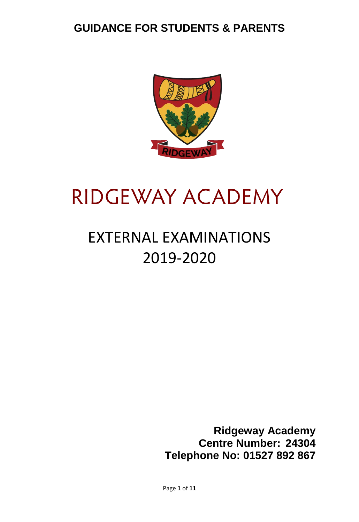

# RIDGEWAY ACADEMY

# EXTERNAL EXAMINATIONS 2019-2020

**Ridgeway Academy Centre Number: 24304 Telephone No: 01527 892 867**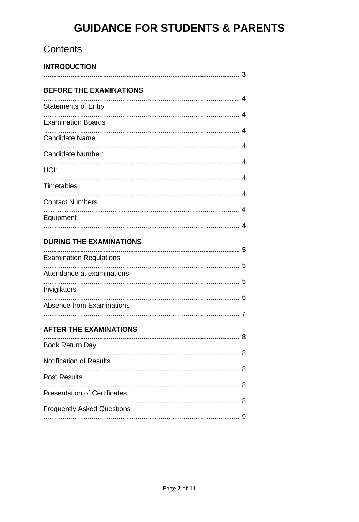# Contents

| <b>INTRODUCTION</b>                 |  |
|-------------------------------------|--|
| <b>BEFORE THE EXAMINATIONS</b>      |  |
| <b>Statements of Entry</b>          |  |
| <b>Examination Boards</b>           |  |
| <b>Candidate Name</b>               |  |
| Candidate Number:                   |  |
| UCI:                                |  |
| <b>Timetables</b>                   |  |
| <b>Contact Numbers</b>              |  |
| Equipment                           |  |
| <b>DURING THE EXAMINATIONS</b>      |  |
| <b>Examination Regulations</b>      |  |
| Attendance at examinations          |  |
| Invigilators                        |  |
| <b>Absence from Examinations</b>    |  |
|                                     |  |
| <b>AFTER THE EXAMINATIONS</b>       |  |
| <b>Book Return Day</b>              |  |
| <b>Notification of Results</b>      |  |
| <b>Post Results</b>                 |  |
| <b>Presentation of Certificates</b> |  |
| <b>Frequently Asked Questions</b>   |  |
|                                     |  |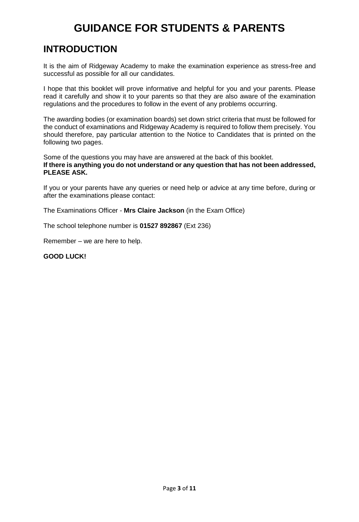# **INTRODUCTION**

It is the aim of Ridgeway Academy to make the examination experience as stress-free and successful as possible for all our candidates.

I hope that this booklet will prove informative and helpful for you and your parents. Please read it carefully and show it to your parents so that they are also aware of the examination regulations and the procedures to follow in the event of any problems occurring.

The awarding bodies (or examination boards) set down strict criteria that must be followed for the conduct of examinations and Ridgeway Academy is required to follow them precisely. You should therefore, pay particular attention to the Notice to Candidates that is printed on the following two pages.

Some of the questions you may have are answered at the back of this booklet. **If there is anything you do not understand or any question that has not been addressed, PLEASE ASK.** 

If you or your parents have any queries or need help or advice at any time before, during or after the examinations please contact:

The Examinations Officer - **Mrs Claire Jackson** (in the Exam Office)

The school telephone number is **01527 892867** (Ext 236)

Remember – we are here to help.

### **GOOD LUCK!**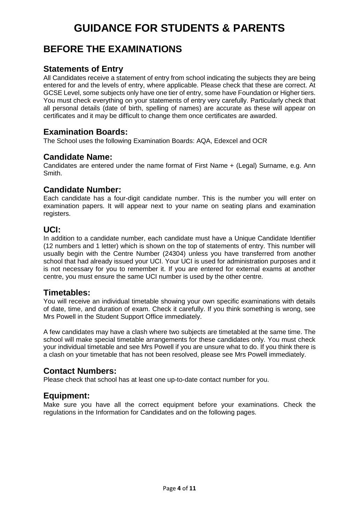# **BEFORE THE EXAMINATIONS**

## **Statements of Entry**

All Candidates receive a statement of entry from school indicating the subjects they are being entered for and the levels of entry, where applicable. Please check that these are correct. At GCSE Level, some subjects only have one tier of entry, some have Foundation or Higher tiers. You must check everything on your statements of entry very carefully. Particularly check that all personal details (date of birth, spelling of names) are accurate as these will appear on certificates and it may be difficult to change them once certificates are awarded.

## **Examination Boards:**

The School uses the following Examination Boards: AQA, Edexcel and OCR

## **Candidate Name:**

Candidates are entered under the name format of First Name + (Legal) Surname, e.g. Ann Smith.

## **Candidate Number:**

Each candidate has a four-digit candidate number. This is the number you will enter on examination papers. It will appear next to your name on seating plans and examination registers.

## **UCI:**

In addition to a candidate number, each candidate must have a Unique Candidate Identifier (12 numbers and 1 letter) which is shown on the top of statements of entry. This number will usually begin with the Centre Number (24304) unless you have transferred from another school that had already issued your UCI. Your UCI is used for administration purposes and it is not necessary for you to remember it. If you are entered for external exams at another centre, you must ensure the same UCI number is used by the other centre.

## **Timetables:**

You will receive an individual timetable showing your own specific examinations with details of date, time, and duration of exam. Check it carefully. If you think something is wrong, see Mrs Powell in the Student Support Office immediately.

A few candidates may have a clash where two subjects are timetabled at the same time. The school will make special timetable arrangements for these candidates only. You must check your individual timetable and see Mrs Powell if you are unsure what to do. If you think there is a clash on your timetable that has not been resolved, please see Mrs Powell immediately.

## **Contact Numbers:**

Please check that school has at least one up-to-date contact number for you.

## **Equipment:**

Make sure you have all the correct equipment before your examinations. Check the regulations in the Information for Candidates and on the following pages.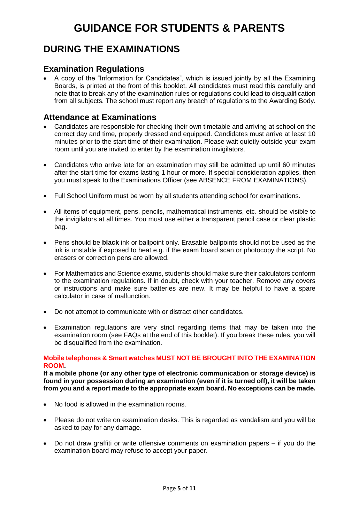# **DURING THE EXAMINATIONS**

## **Examination Regulations**

• A copy of the "Information for Candidates", which is issued jointly by all the Examining Boards, is printed at the front of this booklet. All candidates must read this carefully and note that to break any of the examination rules or regulations could lead to disqualification from all subjects. The school must report any breach of regulations to the Awarding Body.

## **Attendance at Examinations**

- Candidates are responsible for checking their own timetable and arriving at school on the correct day and time, properly dressed and equipped. Candidates must arrive at least 10 minutes prior to the start time of their examination. Please wait quietly outside your exam room until you are invited to enter by the examination invigilators.
- Candidates who arrive late for an examination may still be admitted up until 60 minutes after the start time for exams lasting 1 hour or more. If special consideration applies, then you must speak to the Examinations Officer (see ABSENCE FROM EXAMINATIONS).
- Full School Uniform must be worn by all students attending school for examinations.
- All items of equipment, pens, pencils, mathematical instruments, etc. should be visible to the invigilators at all times. You must use either a transparent pencil case or clear plastic bag.
- Pens should be **black** ink or ballpoint only. Erasable ballpoints should not be used as the ink is unstable if exposed to heat e.g. if the exam board scan or photocopy the script. No erasers or correction pens are allowed.
- For Mathematics and Science exams, students should make sure their calculators conform to the examination regulations. If in doubt, check with your teacher. Remove any covers or instructions and make sure batteries are new. It may be helpful to have a spare calculator in case of malfunction.
- Do not attempt to communicate with or distract other candidates.
- Examination regulations are very strict regarding items that may be taken into the examination room (see FAQs at the end of this booklet). If you break these rules, you will be disqualified from the examination.

#### **Mobile telephones & Smart watches MUST NOT BE BROUGHT INTO THE EXAMINATION ROOM.**

**If a mobile phone (or any other type of electronic communication or storage device) is found in your possession during an examination (even if it is turned off), it will be taken from you and a report made to the appropriate exam board. No exceptions can be made.** 

- No food is allowed in the examination rooms.
- Please do not write on examination desks. This is regarded as vandalism and you will be asked to pay for any damage.
- Do not draw graffiti or write offensive comments on examination papers if you do the examination board may refuse to accept your paper.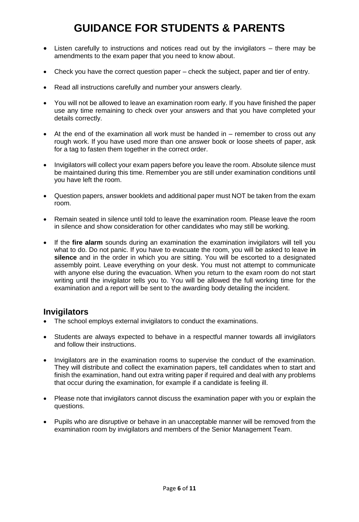- Listen carefully to instructions and notices read out by the invigilators there may be amendments to the exam paper that you need to know about.
- Check you have the correct question paper check the subject, paper and tier of entry.
- Read all instructions carefully and number your answers clearly.
- You will not be allowed to leave an examination room early. If you have finished the paper use any time remaining to check over your answers and that you have completed your details correctly.
- At the end of the examination all work must be handed in remember to cross out any rough work. If you have used more than one answer book or loose sheets of paper, ask for a tag to fasten them together in the correct order.
- Invigilators will collect your exam papers before you leave the room. Absolute silence must be maintained during this time. Remember you are still under examination conditions until you have left the room.
- Question papers, answer booklets and additional paper must NOT be taken from the exam room.
- Remain seated in silence until told to leave the examination room. Please leave the room in silence and show consideration for other candidates who may still be working.
- If the **fire alarm** sounds during an examination the examination invigilators will tell you what to do. Do not panic. If you have to evacuate the room, you will be asked to leave **in silence** and in the order in which you are sitting. You will be escorted to a designated assembly point. Leave everything on your desk. You must not attempt to communicate with anyone else during the evacuation. When you return to the exam room do not start writing until the invigilator tells you to. You will be allowed the full working time for the examination and a report will be sent to the awarding body detailing the incident.

## **Invigilators**

- The school employs external invigilators to conduct the examinations.
- Students are always expected to behave in a respectful manner towards all invigilators and follow their instructions.
- Invigilators are in the examination rooms to supervise the conduct of the examination. They will distribute and collect the examination papers, tell candidates when to start and finish the examination, hand out extra writing paper if required and deal with any problems that occur during the examination, for example if a candidate is feeling ill.
- Please note that invigilators cannot discuss the examination paper with you or explain the questions.
- Pupils who are disruptive or behave in an unacceptable manner will be removed from the examination room by invigilators and members of the Senior Management Team.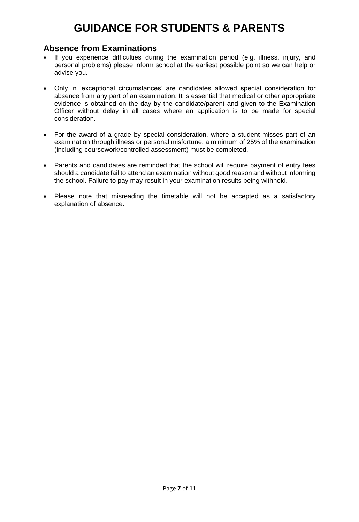## **Absence from Examinations**

- If vou experience difficulties during the examination period (e.g. illness, injury, and personal problems) please inform school at the earliest possible point so we can help or advise you.
- Only in 'exceptional circumstances' are candidates allowed special consideration for absence from any part of an examination. It is essential that medical or other appropriate evidence is obtained on the day by the candidate/parent and given to the Examination Officer without delay in all cases where an application is to be made for special consideration.
- For the award of a grade by special consideration, where a student misses part of an examination through illness or personal misfortune, a minimum of 25% of the examination (including coursework/controlled assessment) must be completed.
- Parents and candidates are reminded that the school will require payment of entry fees should a candidate fail to attend an examination without good reason and without informing the school. Failure to pay may result in your examination results being withheld.
- Please note that misreading the timetable will not be accepted as a satisfactory explanation of absence.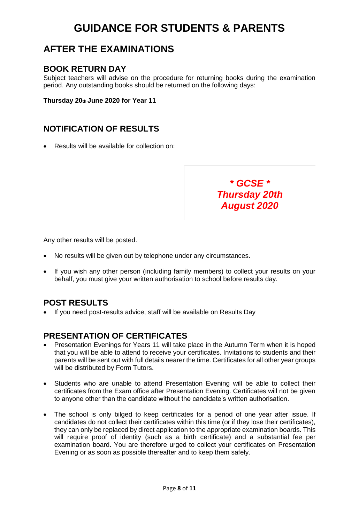## **AFTER THE EXAMINATIONS**

## **BOOK RETURN DAY**

Subject teachers will advise on the procedure for returning books during the examination period. Any outstanding books should be returned on the following days:

**Thursday 20th June 2020 for Year 11** 

## **NOTIFICATION OF RESULTS**

• Results will be available for collection on:

*Thursday 20th August 2020*

*\* GCSE \**

Any other results will be posted.

- No results will be given out by telephone under any circumstances.
- If you wish any other person (including family members) to collect your results on your behalf, you must give your written authorisation to school before results day.

## **POST RESULTS**

• If you need post-results advice, staff will be available on Results Day

## **PRESENTATION OF CERTIFICATES**

- Presentation Evenings for Years 11 will take place in the Autumn Term when it is hoped that you will be able to attend to receive your certificates. Invitations to students and their parents will be sent out with full details nearer the time. Certificates for all other year groups will be distributed by Form Tutors.
- Students who are unable to attend Presentation Evening will be able to collect their certificates from the Exam office after Presentation Evening. Certificates will not be given to anyone other than the candidate without the candidate's written authorisation.
- The school is only bilged to keep certificates for a period of one year after issue. If candidates do not collect their certificates within this time (or if they lose their certificates), they can only be replaced by direct application to the appropriate examination boards. This will require proof of identity (such as a birth certificate) and a substantial fee per examination board. You are therefore urged to collect your certificates on Presentation Evening or as soon as possible thereafter and to keep them safely.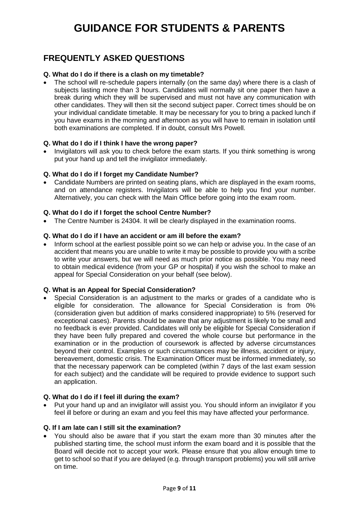## **FREQUENTLY ASKED QUESTIONS**

## **Q. What do I do if there is a clash on my timetable?**

The school will re-schedule papers internally (on the same day) where there is a clash of subjects lasting more than 3 hours. Candidates will normally sit one paper then have a break during which they will be supervised and must not have any communication with other candidates. They will then sit the second subject paper. Correct times should be on your individual candidate timetable. It may be necessary for you to bring a packed lunch if you have exams in the morning and afternoon as you will have to remain in isolation until both examinations are completed. If in doubt, consult Mrs Powell.

### **Q. What do I do if I think I have the wrong paper?**

• Invigilators will ask you to check before the exam starts. If you think something is wrong put your hand up and tell the invigilator immediately.

### **Q. What do I do if I forget my Candidate Number?**

• Candidate Numbers are printed on seating plans, which are displayed in the exam rooms, and on attendance registers. Invigilators will be able to help you find your number. Alternatively, you can check with the Main Office before going into the exam room.

### **Q. What do I do if I forget the school Centre Number?**

• The Centre Number is 24304. It will be clearly displayed in the examination rooms.

### **Q. What do I do if I have an accident or am ill before the exam?**

• Inform school at the earliest possible point so we can help or advise you. In the case of an accident that means you are unable to write it may be possible to provide you with a scribe to write your answers, but we will need as much prior notice as possible. You may need to obtain medical evidence (from your GP or hospital) if you wish the school to make an appeal for Special Consideration on your behalf (see below).

### **Q. What is an Appeal for Special Consideration?**

• Special Consideration is an adjustment to the marks or grades of a candidate who is eligible for consideration. The allowance for Special Consideration is from 0% (consideration given but addition of marks considered inappropriate) to 5% (reserved for exceptional cases). Parents should be aware that any adjustment is likely to be small and no feedback is ever provided. Candidates will only be eligible for Special Consideration if they have been fully prepared and covered the whole course but performance in the examination or in the production of coursework is affected by adverse circumstances beyond their control. Examples or such circumstances may be illness, accident or injury, bereavement, domestic crisis. The Examination Officer must be informed immediately, so that the necessary paperwork can be completed (within 7 days of the last exam session for each subject) and the candidate will be required to provide evidence to support such an application.

### **Q. What do I do if I feel ill during the exam?**

• Put your hand up and an invigilator will assist you. You should inform an invigilator if you feel ill before or during an exam and you feel this may have affected your performance.

## **Q. If I am late can I still sit the examination?**

• You should also be aware that if you start the exam more than 30 minutes after the published starting time, the school must inform the exam board and it is possible that the Board will decide not to accept your work. Please ensure that you allow enough time to get to school so that if you are delayed (e.g. through transport problems) you will still arrive on time.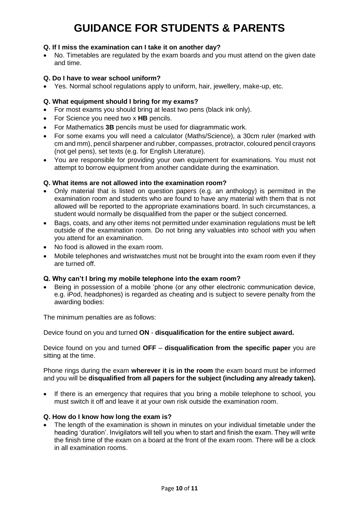## **Q. If I miss the examination can I take it on another day?**

• No. Timetables are regulated by the exam boards and you must attend on the given date and time.

### **Q. Do I have to wear school uniform?**

• Yes. Normal school regulations apply to uniform, hair, jewellery, make-up, etc.

## **Q. What equipment should I bring for my exams?**

- For most exams you should bring at least two pens (black ink only).
- For Science you need two x **HB** pencils.
- For Mathematics **3B** pencils must be used for diagrammatic work.
- For some exams you will need a calculator (Maths/Science), a 30cm ruler (marked with cm and mm), pencil sharpener and rubber, compasses, protractor, coloured pencil crayons (not gel pens), set texts (e.g. for English Literature).
- You are responsible for providing your own equipment for examinations. You must not attempt to borrow equipment from another candidate during the examination.

### **Q. What items are not allowed into the examination room?**

- Only material that is listed on question papers (e.g. an anthology) is permitted in the examination room and students who are found to have any material with them that is not allowed will be reported to the appropriate examinations board. In such circumstances, a student would normally be disqualified from the paper or the subject concerned.
- Bags, coats, and any other items not permitted under examination regulations must be left outside of the examination room. Do not bring any valuables into school with you when you attend for an examination.
- No food is allowed in the exam room.
- Mobile telephones and wristwatches must not be brought into the exam room even if they are turned off.

### **Q. Why can't I bring my mobile telephone into the exam room?**

• Being in possession of a mobile 'phone (or any other electronic communication device, e.g. iPod, headphones) is regarded as cheating and is subject to severe penalty from the awarding bodies:

The minimum penalties are as follows:

Device found on you and turned **ON** - **disqualification for the entire subject award.** 

Device found on you and turned **OFF** – **disqualification from the specific paper** you are sitting at the time.

Phone rings during the exam **wherever it is in the room** the exam board must be informed and you will be **disqualified from all papers for the subject (including any already taken).**

• If there is an emergency that requires that you bring a mobile telephone to school, you must switch it off and leave it at your own risk outside the examination room.

### **Q. How do I know how long the exam is?**

• The length of the examination is shown in minutes on your individual timetable under the heading 'duration'. Invigilators will tell you when to start and finish the exam. They will write the finish time of the exam on a board at the front of the exam room. There will be a clock in all examination rooms.